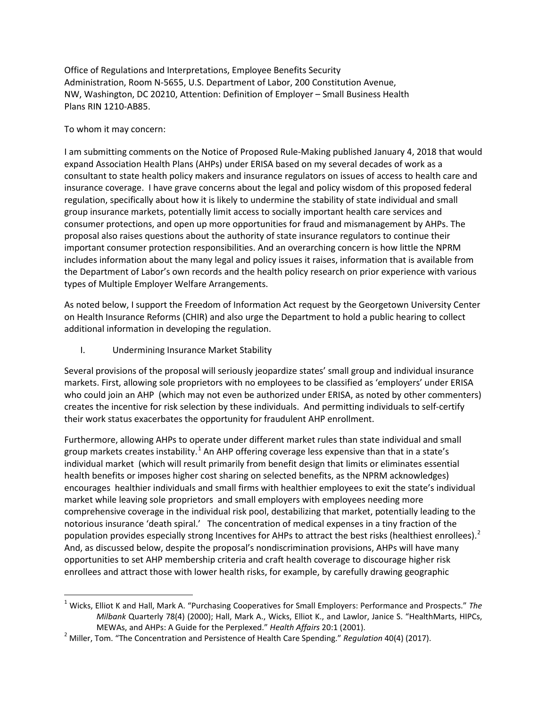Office of Regulations and Interpretations, Employee Benefits Security Administration, Room N-5655, U.S. Department of Labor, 200 Constitution Avenue, NW, Washington, DC 20210, Attention: Definition of Employer – Small Business Health Plans RIN 1210-AB85.

## To whom it may concern:

I am submitting comments on the Notice of Proposed Rule-Making published January 4, 2018 that would expand Association Health Plans (AHPs) under ERISA based on my several decades of work as a consultant to state health policy makers and insurance regulators on issues of access to health care and insurance coverage. I have grave concerns about the legal and policy wisdom of this proposed federal regulation, specifically about how it is likely to undermine the stability of state individual and small group insurance markets, potentially limit access to socially important health care services and consumer protections, and open up more opportunities for fraud and mismanagement by AHPs. The proposal also raises questions about the authority of state insurance regulators to continue their important consumer protection responsibilities. And an overarching concern is how little the NPRM includes information about the many legal and policy issues it raises, information that is available from the Department of Labor's own records and the health policy research on prior experience with various types of Multiple Employer Welfare Arrangements.

As noted below, I support the Freedom of Information Act request by the Georgetown University Center on Health Insurance Reforms (CHIR) and also urge the Department to hold a public hearing to collect additional information in developing the regulation.

I. Undermining Insurance Market Stability

Several provisions of the proposal will seriously jeopardize states' small group and individual insurance markets. First, allowing sole proprietors with no employees to be classified as 'employers' under ERISA who could join an AHP (which may not even be authorized under ERISA, as noted by other commenters) creates the incentive for risk selection by these individuals. And permitting individuals to self-certify their work status exacerbates the opportunity for fraudulent AHP enrollment.

Furthermore, allowing AHPs to operate under different market rules than state individual and small group markets creates instability.<sup>[1](#page-0-0)</sup> An AHP offering coverage less expensive than that in a state's individual market (which will result primarily from benefit design that limits or eliminates essential health benefits or imposes higher cost sharing on selected benefits, as the NPRM acknowledges) encourages healthier individuals and small firms with healthier employees to exit the state's individual market while leaving sole proprietors and small employers with employees needing more comprehensive coverage in the individual risk pool, destabilizing that market, potentially leading to the notorious insurance 'death spiral.' The concentration of medical expenses in a tiny fraction of the population provides especially strong Incentives for AHPs to attract the best risks (healthiest enrollees).<sup>[2](#page-0-1)</sup> And, as discussed below, despite the proposal's nondiscrimination provisions, AHPs will have many opportunities to set AHP membership criteria and craft health coverage to discourage higher risk enrollees and attract those with lower health risks, for example, by carefully drawing geographic

<span id="page-0-0"></span> <sup>1</sup> Wicks, Elliot K and Hall, Mark A. "Purchasing Cooperatives for Small Employers: Performance and Prospects." *The Milbank* Quarterly 78(4) (2000); Hall, Mark A., Wicks, Elliot K., and Lawlor, Janice S. "HealthMarts, HIPCs, MEWAs, and AHPs: A Guide for the Perplexed." *Health Affairs* 20:1 (2001). <sup>2</sup> Miller, Tom. "The Concentration and Persistence of Health Care Spending." *Regulation* 40(4) (2017).

<span id="page-0-1"></span>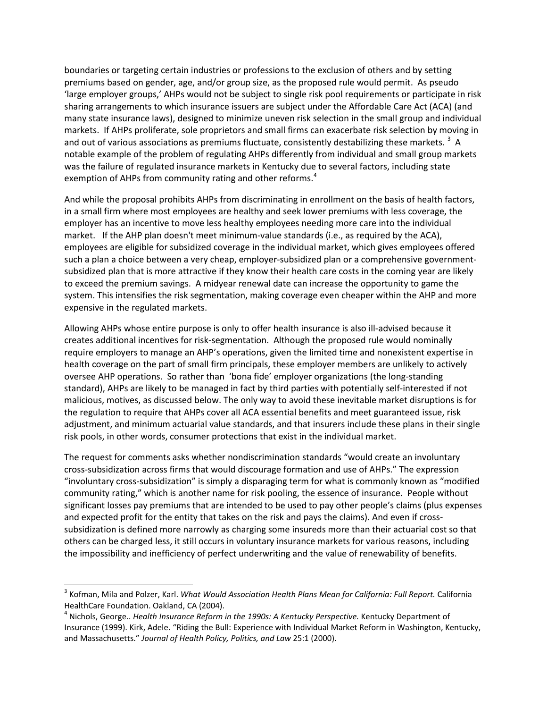boundaries or targeting certain industries or professions to the exclusion of others and by setting premiums based on gender, age, and/or group size, as the proposed rule would permit. As pseudo 'large employer groups,' AHPs would not be subject to single risk pool requirements or participate in risk sharing arrangements to which insurance issuers are subject under the Affordable Care Act (ACA) (and many state insurance laws), designed to minimize uneven risk selection in the small group and individual markets. If AHPs proliferate, sole proprietors and small firms can exacerbate risk selection by moving in and out of various associations as premiums fluctuate, consistently destabilizing these markets.  $^3$  $^3$  A notable example of the problem of regulating AHPs differently from individual and small group markets was the failure of regulated insurance markets in Kentucky due to several factors, including state exemption of AHPs from community rating and other reforms. $4$ 

And while the proposal prohibits AHPs from discriminating in enrollment on the basis of health factors, in a small firm where most employees are healthy and seek lower premiums with less coverage, the employer has an incentive to move less healthy employees needing more care into the individual market. If the AHP plan doesn't meet minimum-value standards (i.e., as required by the ACA), employees are eligible for subsidized coverage in the individual market, which gives employees offered such a plan a choice between a very cheap, employer-subsidized plan or a comprehensive governmentsubsidized plan that is more attractive if they know their health care costs in the coming year are likely to exceed the premium savings. A midyear renewal date can increase the opportunity to game the system. This intensifies the risk segmentation, making coverage even cheaper within the AHP and more expensive in the regulated markets.

Allowing AHPs whose entire purpose is only to offer health insurance is also ill-advised because it creates additional incentives for risk-segmentation. Although the proposed rule would nominally require employers to manage an AHP's operations, given the limited time and nonexistent expertise in health coverage on the part of small firm principals, these employer members are unlikely to actively oversee AHP operations. So rather than 'bona fide' employer organizations (the long-standing standard), AHPs are likely to be managed in fact by third parties with potentially self-interested if not malicious, motives, as discussed below. The only way to avoid these inevitable market disruptions is for the regulation to require that AHPs cover all ACA essential benefits and meet guaranteed issue, risk adjustment, and minimum actuarial value standards, and that insurers include these plans in their single risk pools, in other words, consumer protections that exist in the individual market.

The request for comments asks whether nondiscrimination standards "would create an involuntary cross-subsidization across firms that would discourage formation and use of AHPs." The expression "involuntary cross-subsidization" is simply a disparaging term for what is commonly known as "modified community rating," which is another name for risk pooling, the essence of insurance. People without significant losses pay premiums that are intended to be used to pay other people's claims (plus expenses and expected profit for the entity that takes on the risk and pays the claims). And even if crosssubsidization is defined more narrowly as charging some insureds more than their actuarial cost so that others can be charged less, it still occurs in voluntary insurance markets for various reasons, including the impossibility and inefficiency of perfect underwriting and the value of renewability of benefits.

<span id="page-1-0"></span> <sup>3</sup> Kofman, Mila and Polzer, Karl. *What Would Association Health Plans Mean for California: Full Report.* California

<span id="page-1-1"></span>HealthCare Foundation. Oakland, CA (2004).<br><sup>4</sup> Nichols, George.. *Health Insurance Reform in the 1990s: A Kentucky Perspective. Kentucky Department of* Insurance (1999). Kirk, Adele. "Riding the Bull: Experience with Individual Market Reform in Washington, Kentucky, and Massachusetts." *Journal of Health Policy, Politics, and Law* 25:1 (2000).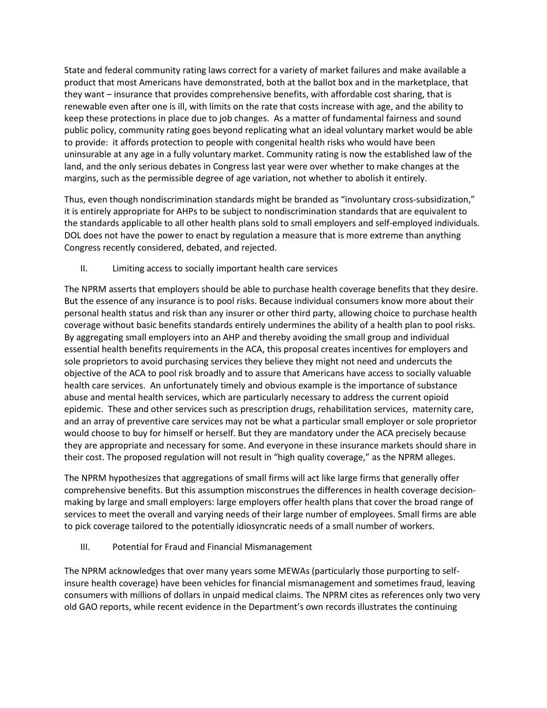State and federal community rating laws correct for a variety of market failures and make available a product that most Americans have demonstrated, both at the ballot box and in the marketplace, that they want – insurance that provides comprehensive benefits, with affordable cost sharing, that is renewable even after one is ill, with limits on the rate that costs increase with age, and the ability to keep these protections in place due to job changes. As a matter of fundamental fairness and sound public policy, community rating goes beyond replicating what an ideal voluntary market would be able to provide: it affords protection to people with congenital health risks who would have been uninsurable at any age in a fully voluntary market. Community rating is now the established law of the land, and the only serious debates in Congress last year were over whether to make changes at the margins, such as the permissible degree of age variation, not whether to abolish it entirely.

Thus, even though nondiscrimination standards might be branded as "involuntary cross-subsidization," it is entirely appropriate for AHPs to be subject to nondiscrimination standards that are equivalent to the standards applicable to all other health plans sold to small employers and self-employed individuals. DOL does not have the power to enact by regulation a measure that is more extreme than anything Congress recently considered, debated, and rejected.

II. Limiting access to socially important health care services

The NPRM asserts that employers should be able to purchase health coverage benefits that they desire. But the essence of any insurance is to pool risks. Because individual consumers know more about their personal health status and risk than any insurer or other third party, allowing choice to purchase health coverage without basic benefits standards entirely undermines the ability of a health plan to pool risks. By aggregating small employers into an AHP and thereby avoiding the small group and individual essential health benefits requirements in the ACA, this proposal creates incentives for employers and sole proprietors to avoid purchasing services they believe they might not need and undercuts the objective of the ACA to pool risk broadly and to assure that Americans have access to socially valuable health care services. An unfortunately timely and obvious example is the importance of substance abuse and mental health services, which are particularly necessary to address the current opioid epidemic. These and other services such as prescription drugs, rehabilitation services, maternity care, and an array of preventive care services may not be what a particular small employer or sole proprietor would choose to buy for himself or herself. But they are mandatory under the ACA precisely because they are appropriate and necessary for some. And everyone in these insurance markets should share in their cost. The proposed regulation will not result in "high quality coverage," as the NPRM alleges.

The NPRM hypothesizes that aggregations of small firms will act like large firms that generally offer comprehensive benefits. But this assumption misconstrues the differences in health coverage decisionmaking by large and small employers: large employers offer health plans that cover the broad range of services to meet the overall and varying needs of their large number of employees. Small firms are able to pick coverage tailored to the potentially idiosyncratic needs of a small number of workers.

III. Potential for Fraud and Financial Mismanagement

The NPRM acknowledges that over many years some MEWAs (particularly those purporting to selfinsure health coverage) have been vehicles for financial mismanagement and sometimes fraud, leaving consumers with millions of dollars in unpaid medical claims. The NPRM cites as references only two very old GAO reports, while recent evidence in the Department's own records illustrates the continuing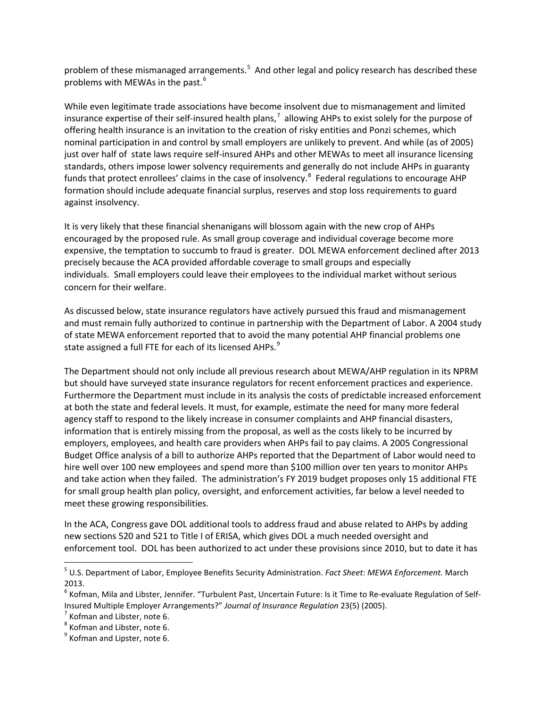problem of these mismanaged arrangements.<sup>[5](#page-3-0)</sup> And other legal and policy research has described these problems with MEWAs in the past.<sup>[6](#page-3-1)</sup>

While even legitimate trade associations have become insolvent due to mismanagement and limited insurance expertise of their self-insured health plans,<sup>[7](#page-3-2)</sup> allowing AHPs to exist solely for the purpose of offering health insurance is an invitation to the creation of risky entities and Ponzi schemes, which nominal participation in and control by small employers are unlikely to prevent. And while (as of 2005) just over half of state laws require self-insured AHPs and other MEWAs to meet all insurance licensing standards, others impose lower solvency requirements and generally do not include AHPs in guaranty funds that protect enrollees' claims in the case of insolvency.<sup>[8](#page-3-3)</sup> Federal regulations to encourage AHP formation should include adequate financial surplus, reserves and stop loss requirements to guard against insolvency.

It is very likely that these financial shenanigans will blossom again with the new crop of AHPs encouraged by the proposed rule. As small group coverage and individual coverage become more expensive, the temptation to succumb to fraud is greater. DOL MEWA enforcement declined after 2013 precisely because the ACA provided affordable coverage to small groups and especially individuals. Small employers could leave their employees to the individual market without serious concern for their welfare.

As discussed below, state insurance regulators have actively pursued this fraud and mismanagement and must remain fully authorized to continue in partnership with the Department of Labor. A 2004 study of state MEWA enforcement reported that to avoid the many potential AHP financial problems one state assigned a full FTE for each of its licensed AHPs.<sup>[9](#page-3-4)</sup>

The Department should not only include all previous research about MEWA/AHP regulation in its NPRM but should have surveyed state insurance regulators for recent enforcement practices and experience. Furthermore the Department must include in its analysis the costs of predictable increased enforcement at both the state and federal levels. It must, for example, estimate the need for many more federal agency staff to respond to the likely increase in consumer complaints and AHP financial disasters, information that is entirely missing from the proposal, as well as the costs likely to be incurred by employers, employees, and health care providers when AHPs fail to pay claims. A 2005 Congressional Budget Office analysis of a bill to authorize AHPs reported that the Department of Labor would need to hire well over 100 new employees and spend more than \$100 million over ten years to monitor AHPs and take action when they failed. The administration's FY 2019 budget proposes only 15 additional FTE for small group health plan policy, oversight, and enforcement activities, far below a level needed to meet these growing responsibilities.

In the ACA, Congress gave DOL additional tools to address fraud and abuse related to AHPs by adding new sections 520 and 521 to Title I of ERISA, which gives DOL a much needed oversight and enforcement tool. DOL has been authorized to act under these provisions since 2010, but to date it has

<span id="page-3-0"></span> <sup>5</sup> U.S. Department of Labor, Employee Benefits Security Administration. *Fact Sheet: MEWA Enforcement.* March 2013.

<span id="page-3-1"></span> $^6$  Kofman, Mila and Libster, Jennifer. "Turbulent Past, Uncertain Future: Is it Time to Re-evaluate Regulation of Self-Insured Multiple Employer Arrangements?" *Journal of Insurance Regulation* 23(5) (2005).<br>
<sup>7</sup> Kofman and Libster, note 6.<br>
<sup>8</sup> Kofman and Lipster, note 6.

<span id="page-3-2"></span>

<span id="page-3-3"></span>

<span id="page-3-4"></span>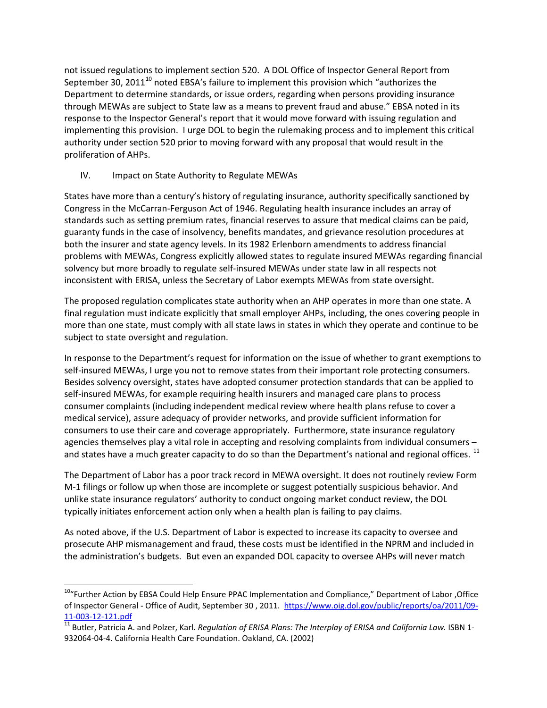not issued regulations to implement section 520. A DOL Office of Inspector General Report from September 30, 2011<sup>[10](#page-4-0)</sup> noted EBSA's failure to implement this provision which "authorizes the Department to determine standards, or issue orders, regarding when persons providing insurance through MEWAs are subject to State law as a means to prevent fraud and abuse." EBSA noted in its response to the Inspector General's report that it would move forward with issuing regulation and implementing this provision. I urge DOL to begin the rulemaking process and to implement this critical authority under section 520 prior to moving forward with any proposal that would result in the proliferation of AHPs.

IV. Impact on State Authority to Regulate MEWAs

States have more than a century's history of regulating insurance, authority specifically sanctioned by Congress in the McCarran-Ferguson Act of 1946. Regulating health insurance includes an array of standards such as setting premium rates, financial reserves to assure that medical claims can be paid, guaranty funds in the case of insolvency, benefits mandates, and grievance resolution procedures at both the insurer and state agency levels. In its 1982 Erlenborn amendments to address financial problems with MEWAs, Congress explicitly allowed states to regulate insured MEWAs regarding financial solvency but more broadly to regulate self-insured MEWAs under state law in all respects not inconsistent with ERISA, unless the Secretary of Labor exempts MEWAs from state oversight.

The proposed regulation complicates state authority when an AHP operates in more than one state. A final regulation must indicate explicitly that small employer AHPs, including, the ones covering people in more than one state, must comply with all state laws in states in which they operate and continue to be subject to state oversight and regulation.

In response to the Department's request for information on the issue of whether to grant exemptions to self-insured MEWAs, I urge you not to remove states from their important role protecting consumers. Besides solvency oversight, states have adopted consumer protection standards that can be applied to self-insured MEWAs, for example requiring health insurers and managed care plans to process consumer complaints (including independent medical review where health plans refuse to cover a medical service), assure adequacy of provider networks, and provide sufficient information for consumers to use their care and coverage appropriately. Furthermore, state insurance regulatory agencies themselves play a vital role in accepting and resolving complaints from individual consumers – and states have a much greater capacity to do so than the Department's national and regional offices. <sup>[11](#page-4-1)</sup>

The Department of Labor has a poor track record in MEWA oversight. It does not routinely review Form M-1 filings or follow up when those are incomplete or suggest potentially suspicious behavior. And unlike state insurance regulators' authority to conduct ongoing market conduct review, the DOL typically initiates enforcement action only when a health plan is failing to pay claims.

As noted above, if the U.S. Department of Labor is expected to increase its capacity to oversee and prosecute AHP mismanagement and fraud, these costs must be identified in the NPRM and included in the administration's budgets. But even an expanded DOL capacity to oversee AHPs will never match

<span id="page-4-0"></span> <sup>10&</sup>quot;Further Action by EBSA Could Help Ensure PPAC Implementation and Compliance," Department of Labor ,Office of Inspector General - Office of Audit, September 30 , 2011. [https://www.oig.dol.gov/public/reports/oa/2011/09-](https://www.oig.dol.gov/public/reports/oa/2011/09-11-003-12-121.pdf)

<span id="page-4-1"></span>[<sup>11-003-12-121.</sup>pdf](https://www.oig.dol.gov/public/reports/oa/2011/09-11-003-12-121.pdf)<br><sup>11</sup> Butler, Patricia A. and Polzer, Karl. *Regulation of ERISA Plans: The Interplay of ERISA and California Law.* ISBN 1-932064-04-4. California Health Care Foundation. Oakland, CA. (2002)